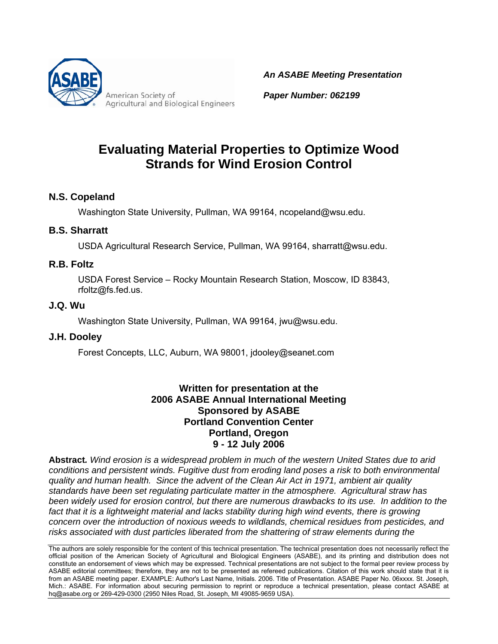

American Society of **Agricultural and Biological Engineers**  *An ASABE Meeting Presentation*

*Paper Number: 062199*

# **Evaluating Material Properties to Optimize Wood Strands for Wind Erosion Control**

### **N.S. Copeland**

Washington State University, Pullman, WA 99164, ncopeland@wsu.edu.

### **B.S. Sharratt**

USDA Agricultural Research Service, Pullman, WA 99164, sharratt@wsu.edu.

### **R.B. Foltz**

USDA Forest Service – Rocky Mountain Research Station, Moscow, ID 83843, rfoltz@fs.fed.us.

### **J.Q. Wu**

Washington State University, Pullman, WA 99164, jwu@wsu.edu.

### **J.H. Dooley**

Forest Concepts, LLC, Auburn, WA 98001, jdooley@seanet.com

### **Written for presentation at the 2006 ASABE Annual International Meeting Sponsored by ASABE Portland Convention Center Portland, Oregon 9 - 12 July 2006**

**Abstract***. Wind erosion is a widespread problem in much of the western United States due to arid conditions and persistent winds. Fugitive dust from eroding land poses a risk to both environmental quality and human health. Since the advent of the Clean Air Act in 1971, ambient air quality standards have been set regulating particulate matter in the atmosphere. Agricultural straw has been widely used for erosion control, but there are numerous drawbacks to its use. In addition to the*  fact that it is a lightweight material and lacks stability during high wind events, there is growing *concern over the introduction of noxious weeds to wildlands, chemical residues from pesticides, and risks associated with dust particles liberated from the shattering of straw elements during the* 

The authors are solely responsible for the content of this technical presentation. The technical presentation does not necessarily reflect the official position of the American Society of Agricultural and Biological Engineers (ASABE), and its printing and distribution does not constitute an endorsement of views which may be expressed. Technical presentations are not subject to the formal peer review process by ASABE editorial committees; therefore, they are not to be presented as refereed publications. Citation of this work should state that it is from an ASABE meeting paper. EXAMPLE: Author's Last Name, Initials. 2006. Title of Presentation. ASABE Paper No. 06xxxx. St. Joseph, Mich.: ASABE. For information about securing permission to reprint or reproduce a technical presentation, please contact ASABE at hq@asabe.org or 269-429-0300 (2950 Niles Road, St. Joseph, MI 49085-9659 USA).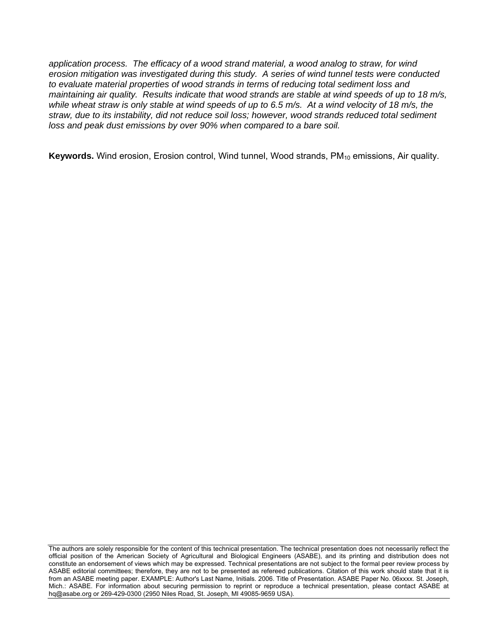*application process. The efficacy of a wood strand material, a wood analog to straw, for wind erosion mitigation was investigated during this study. A series of wind tunnel tests were conducted to evaluate material properties of wood strands in terms of reducing total sediment loss and maintaining air quality. Results indicate that wood strands are stable at wind speeds of up to 18 m/s, while wheat straw is only stable at wind speeds of up to 6.5 m/s. At a wind velocity of 18 m/s, the straw, due to its instability, did not reduce soil loss; however, wood strands reduced total sediment loss and peak dust emissions by over 90% when compared to a bare soil.* 

Keywords. Wind erosion, Erosion control, Wind tunnel, Wood strands, PM<sub>10</sub> emissions, Air quality.

The authors are solely responsible for the content of this technical presentation. The technical presentation does not necessarily reflect the official position of the American Society of Agricultural and Biological Engineers (ASABE), and its printing and distribution does not constitute an endorsement of views which may be expressed. Technical presentations are not subject to the formal peer review process by ASABE editorial committees; therefore, they are not to be presented as refereed publications. Citation of this work should state that it is from an ASABE meeting paper. EXAMPLE: Author's Last Name, Initials. 2006. Title of Presentation. ASABE Paper No. 06xxxx. St. Joseph, Mich.: ASABE. For information about securing permission to reprint or reproduce a technical presentation, please contact ASABE at hq@asabe.org or 269-429-0300 (2950 Niles Road, St. Joseph, MI 49085-9659 USA).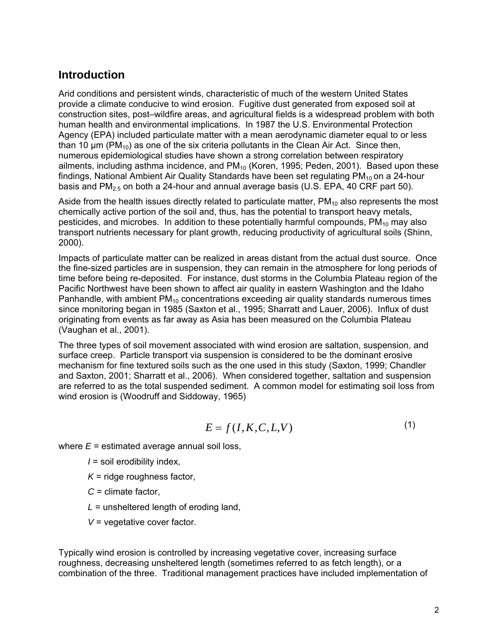### **Introduction**

Arid conditions and persistent winds, characteristic of much of the western United States provide a climate conducive to wind erosion. Fugitive dust generated from exposed soil at construction sites, post–wildfire areas, and agricultural fields is a widespread problem with both human health and environmental implications. In 1987 the U.S. Environmental Protection Agency (EPA) included particulate matter with a mean aerodynamic diameter equal to or less than 10  $\mu$ m (PM<sub>10</sub>) as one of the six criteria pollutants in the Clean Air Act. Since then, numerous epidemiological studies have shown a strong correlation between respiratory ailments, including asthma incidence, and  $PM_{10}$  (Koren, 1995; Peden, 2001). Based upon these findings, National Ambient Air Quality Standards have been set regulating  $PM_{10}$  on a 24-hour basis and  $PM<sub>2.5</sub>$  on both a 24-hour and annual average basis (U.S. EPA, 40 CRF part 50).

Aside from the health issues directly related to particulate matter,  $PM_{10}$  also represents the most chemically active portion of the soil and, thus, has the potential to transport heavy metals, pesticides, and microbes. In addition to these potentially harmful compounds,  $PM_{10}$  may also transport nutrients necessary for plant growth, reducing productivity of agricultural soils (Shinn, 2000).

Impacts of particulate matter can be realized in areas distant from the actual dust source. Once the fine-sized particles are in suspension, they can remain in the atmosphere for long periods of time before being re-deposited. For instance, dust storms in the Columbia Plateau region of the Pacific Northwest have been shown to affect air quality in eastern Washington and the Idaho Panhandle, with ambient  $PM_{10}$  concentrations exceeding air quality standards numerous times since monitoring began in 1985 (Saxton et al., 1995; Sharratt and Lauer, 2006). Influx of dust originating from events as far away as Asia has been measured on the Columbia Plateau (Vaughan et al., 2001).

The three types of soil movement associated with wind erosion are saltation, suspension, and surface creep. Particle transport via suspension is considered to be the dominant erosive mechanism for fine textured soils such as the one used in this study (Saxton, 1999; Chandler and Saxton, 2001; Sharratt et al., 2006). When considered together, saltation and suspension are referred to as the total suspended sediment. A common model for estimating soil loss from wind erosion is (Woodruff and Siddoway, 1965)

$$
E = f(I, K, C, L, V) \tag{1}
$$

where  $E =$  estimated average annual soil loss,

*I* = soil erodibility index,

- *K* = ridge roughness factor,
- *C* = climate factor,
- *L* = unsheltered length of eroding land,
- *V* = vegetative cover factor.

Typically wind erosion is controlled by increasing vegetative cover, increasing surface roughness, decreasing unsheltered length (sometimes referred to as fetch length), or a combination of the three. Traditional management practices have included implementation of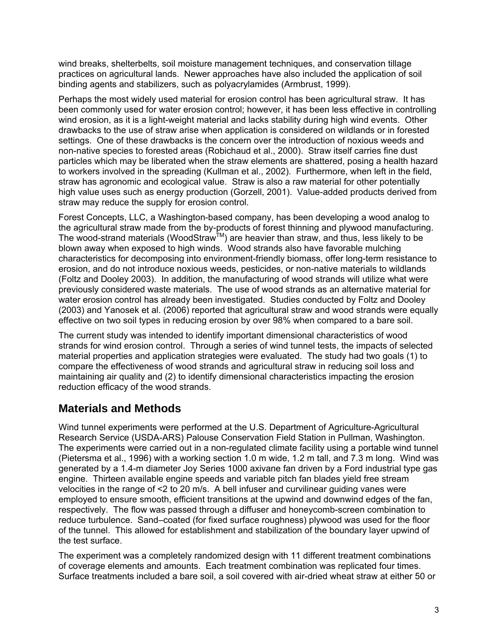wind breaks, shelterbelts, soil moisture management techniques, and conservation tillage practices on agricultural lands. Newer approaches have also included the application of soil binding agents and stabilizers, such as polyacrylamides (Armbrust, 1999).

Perhaps the most widely used material for erosion control has been agricultural straw. It has been commonly used for water erosion control; however, it has been less effective in controlling wind erosion, as it is a light-weight material and lacks stability during high wind events. Other drawbacks to the use of straw arise when application is considered on wildlands or in forested settings. One of these drawbacks is the concern over the introduction of noxious weeds and non-native species to forested areas (Robichaud et al., 2000). Straw itself carries fine dust particles which may be liberated when the straw elements are shattered, posing a health hazard to workers involved in the spreading (Kullman et al., 2002). Furthermore, when left in the field, straw has agronomic and ecological value. Straw is also a raw material for other potentially high value uses such as energy production (Gorzell, 2001). Value-added products derived from straw may reduce the supply for erosion control.

Forest Concepts, LLC, a Washington-based company, has been developing a wood analog to the agricultural straw made from the by-products of forest thinning and plywood manufacturing. The wood-strand materials (WoodStraw<sup>TM</sup>) are heavier than straw, and thus, less likely to be blown away when exposed to high winds. Wood strands also have favorable mulching characteristics for decomposing into environment-friendly biomass, offer long-term resistance to erosion, and do not introduce noxious weeds, pesticides, or non-native materials to wildlands (Foltz and Dooley 2003). In addition, the manufacturing of wood strands will utilize what were previously considered waste materials. The use of wood strands as an alternative material for water erosion control has already been investigated. Studies conducted by Foltz and Dooley (2003) and Yanosek et al. (2006) reported that agricultural straw and wood strands were equally effective on two soil types in reducing erosion by over 98% when compared to a bare soil.

The current study was intended to identify important dimensional characteristics of wood strands for wind erosion control. Through a series of wind tunnel tests, the impacts of selected material properties and application strategies were evaluated. The study had two goals (1) to compare the effectiveness of wood strands and agricultural straw in reducing soil loss and maintaining air quality and (2) to identify dimensional characteristics impacting the erosion reduction efficacy of the wood strands.

### **Materials and Methods**

Wind tunnel experiments were performed at the U.S. Department of Agriculture-Agricultural Research Service (USDA-ARS) Palouse Conservation Field Station in Pullman, Washington. The experiments were carried out in a non-regulated climate facility using a portable wind tunnel (Pietersma et al., 1996) with a working section 1.0 m wide, 1.2 m tall, and 7.3 m long. Wind was generated by a 1.4-m diameter Joy Series 1000 axivane fan driven by a Ford industrial type gas engine. Thirteen available engine speeds and variable pitch fan blades yield free stream velocities in the range of <2 to 20 m/s. A bell infuser and curvilinear guiding vanes were employed to ensure smooth, efficient transitions at the upwind and downwind edges of the fan, respectively. The flow was passed through a diffuser and honeycomb-screen combination to reduce turbulence. Sand–coated (for fixed surface roughness) plywood was used for the floor of the tunnel. This allowed for establishment and stabilization of the boundary layer upwind of the test surface.

The experiment was a completely randomized design with 11 different treatment combinations of coverage elements and amounts. Each treatment combination was replicated four times. Surface treatments included a bare soil, a soil covered with air-dried wheat straw at either 50 or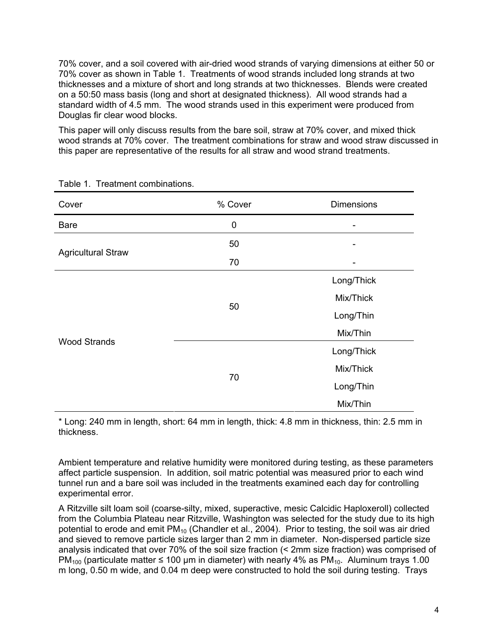70% cover, and a soil covered with air-dried wood strands of varying dimensions at either 50 or 70% cover as shown in Table 1. Treatments of wood strands included long strands at two thicknesses and a mixture of short and long strands at two thicknesses. Blends were created on a 50:50 mass basis (long and short at designated thickness). All wood strands had a standard width of 4.5 mm. The wood strands used in this experiment were produced from Douglas fir clear wood blocks.

This paper will only discuss results from the bare soil, straw at 70% cover, and mixed thick wood strands at 70% cover. The treatment combinations for straw and wood straw discussed in this paper are representative of the results for all straw and wood strand treatments.

| Cover                     | % Cover | <b>Dimensions</b> |  |
|---------------------------|---------|-------------------|--|
| <b>Bare</b>               | 0       | ۰                 |  |
| <b>Agricultural Straw</b> | 50      |                   |  |
|                           | 70      |                   |  |
| <b>Wood Strands</b>       |         | Long/Thick        |  |
|                           | 50      | Mix/Thick         |  |
|                           |         | Long/Thin         |  |
|                           |         | Mix/Thin          |  |
|                           |         | Long/Thick        |  |
|                           |         | Mix/Thick         |  |
|                           | 70      | Long/Thin         |  |
|                           |         | Mix/Thin          |  |

Table 1. Treatment combinations.

\* Long: 240 mm in length, short: 64 mm in length, thick: 4.8 mm in thickness, thin: 2.5 mm in thickness.

Ambient temperature and relative humidity were monitored during testing, as these parameters affect particle suspension. In addition, soil matric potential was measured prior to each wind tunnel run and a bare soil was included in the treatments examined each day for controlling experimental error.

A Ritzville silt loam soil (coarse-silty, mixed, superactive, mesic Calcidic Haploxeroll) collected from the Columbia Plateau near Ritzville, Washington was selected for the study due to its high potential to erode and emit  $PM_{10}$  (Chandler et al., 2004). Prior to testing, the soil was air dried and sieved to remove particle sizes larger than 2 mm in diameter. Non-dispersed particle size analysis indicated that over 70% of the soil size fraction (< 2mm size fraction) was comprised of PM<sub>100</sub> (particulate matter ≤ 100 µm in diameter) with nearly 4% as PM<sub>10</sub>. Aluminum trays 1.00 m long, 0.50 m wide, and 0.04 m deep were constructed to hold the soil during testing. Trays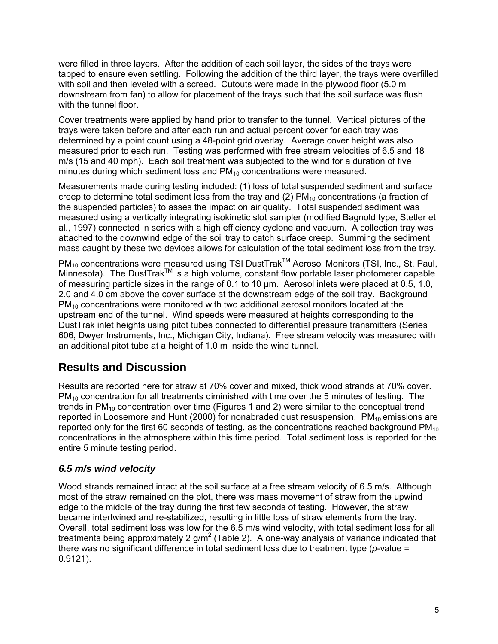were filled in three layers. After the addition of each soil layer, the sides of the trays were tapped to ensure even settling. Following the addition of the third layer, the trays were overfilled with soil and then leveled with a screed. Cutouts were made in the plywood floor (5.0 m downstream from fan) to allow for placement of the trays such that the soil surface was flush with the tunnel floor.

Cover treatments were applied by hand prior to transfer to the tunnel. Vertical pictures of the trays were taken before and after each run and actual percent cover for each tray was determined by a point count using a 48-point grid overlay. Average cover height was also measured prior to each run. Testing was performed with free stream velocities of 6.5 and 18 m/s (15 and 40 mph). Each soil treatment was subjected to the wind for a duration of five minutes during which sediment loss and  $PM_{10}$  concentrations were measured.

Measurements made during testing included: (1) loss of total suspended sediment and surface creep to determine total sediment loss from the tray and  $(2)$  PM<sub>10</sub> concentrations (a fraction of the suspended particles) to asses the impact on air quality. Total suspended sediment was measured using a vertically integrating isokinetic slot sampler (modified Bagnold type, Stetler et al., 1997) connected in series with a high efficiency cyclone and vacuum. A collection tray was attached to the downwind edge of the soil tray to catch surface creep. Summing the sediment mass caught by these two devices allows for calculation of the total sediment loss from the tray.

PM<sub>10</sub> concentrations were measured using TSI DustTrak<sup>™</sup> Aerosol Monitors (TSI, Inc., St. Paul, Minnesota). The DustTrak™ is a high volume, constant flow portable laser photometer capable of measuring particle sizes in the range of 0.1 to 10 µm. Aerosol inlets were placed at 0.5, 1.0, 2.0 and 4.0 cm above the cover surface at the downstream edge of the soil tray. Background  $PM_{10}$  concentrations were monitored with two additional aerosol monitors located at the upstream end of the tunnel. Wind speeds were measured at heights corresponding to the DustTrak inlet heights using pitot tubes connected to differential pressure transmitters (Series 606, Dwyer Instruments, Inc., Michigan City, Indiana). Free stream velocity was measured with an additional pitot tube at a height of 1.0 m inside the wind tunnel.

## **Results and Discussion**

Results are reported here for straw at 70% cover and mixed, thick wood strands at 70% cover.  $PM_{10}$  concentration for all treatments diminished with time over the 5 minutes of testing. The trends in  $PM_{10}$  concentration over time (Figures 1 and 2) were similar to the conceptual trend reported in Loosemore and Hunt (2000) for nonabraded dust resuspension.  $PM_{10}$  emissions are reported only for the first 60 seconds of testing, as the concentrations reached background  $PM_{10}$ concentrations in the atmosphere within this time period. Total sediment loss is reported for the entire 5 minute testing period.

### *6.5 m/s wind velocity*

Wood strands remained intact at the soil surface at a free stream velocity of 6.5 m/s. Although most of the straw remained on the plot, there was mass movement of straw from the upwind edge to the middle of the tray during the first few seconds of testing. However, the straw became intertwined and re-stabilized, resulting in little loss of straw elements from the tray. Overall, total sediment loss was low for the 6.5 m/s wind velocity, with total sediment loss for all treatments being approximately 2 g/m<sup>2</sup> (Table 2). A one-way analysis of variance indicated that there was no significant difference in total sediment loss due to treatment type (*p*-value = 0.9121).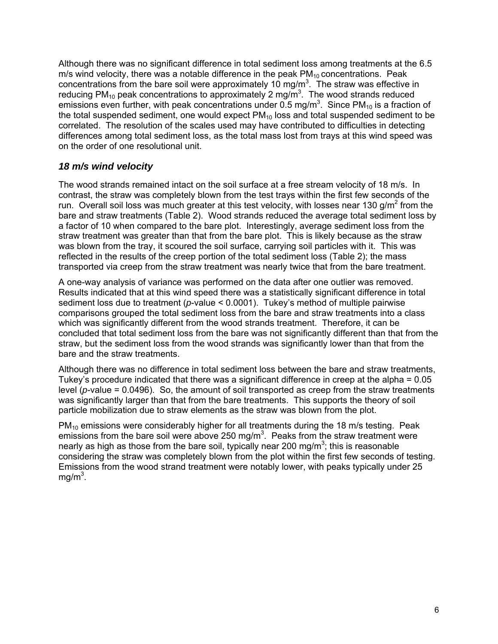Although there was no significant difference in total sediment loss among treatments at the 6.5 m/s wind velocity, there was a notable difference in the peak  $PM<sub>10</sub>$  concentrations. Peak concentrations from the bare soil were approximately 10 mg/m<sup>3</sup>. The straw was effective in reducing PM<sub>10</sub> peak concentrations to approximately 2 mg/m<sup>3</sup>. The wood strands reduced emissions even further, with peak concentrations under 0.5 mg/m<sup>3</sup>. Since PM<sub>10</sub> is a fraction of the total suspended sediment, one would expect  $PM_{10}$  loss and total suspended sediment to be correlated. The resolution of the scales used may have contributed to difficulties in detecting differences among total sediment loss, as the total mass lost from trays at this wind speed was on the order of one resolutional unit.

### *18 m/s wind velocity*

The wood strands remained intact on the soil surface at a free stream velocity of 18 m/s. In contrast, the straw was completely blown from the test trays within the first few seconds of the run. Overall soil loss was much greater at this test velocity, with losses near 130 g/m<sup>2</sup> from the bare and straw treatments (Table 2). Wood strands reduced the average total sediment loss by a factor of 10 when compared to the bare plot. Interestingly, average sediment loss from the straw treatment was greater than that from the bare plot. This is likely because as the straw was blown from the tray, it scoured the soil surface, carrying soil particles with it. This was reflected in the results of the creep portion of the total sediment loss (Table 2); the mass transported via creep from the straw treatment was nearly twice that from the bare treatment.

A one-way analysis of variance was performed on the data after one outlier was removed. Results indicated that at this wind speed there was a statistically significant difference in total sediment loss due to treatment (*p*-value < 0.0001). Tukey's method of multiple pairwise comparisons grouped the total sediment loss from the bare and straw treatments into a class which was significantly different from the wood strands treatment. Therefore, it can be concluded that total sediment loss from the bare was not significantly different than that from the straw, but the sediment loss from the wood strands was significantly lower than that from the bare and the straw treatments.

Although there was no difference in total sediment loss between the bare and straw treatments, Tukey's procedure indicated that there was a significant difference in creep at the alpha = 0.05 level (*p*-value = 0.0496). So, the amount of soil transported as creep from the straw treatments was significantly larger than that from the bare treatments. This supports the theory of soil particle mobilization due to straw elements as the straw was blown from the plot.

 $PM_{10}$  emissions were considerably higher for all treatments during the 18 m/s testing. Peak emissions from the bare soil were above 250 mg/m<sup>3</sup>. Peaks from the straw treatment were nearly as high as those from the bare soil, typically near 200 mg/m<sup>3</sup>; this is reasonable considering the straw was completely blown from the plot within the first few seconds of testing. Emissions from the wood strand treatment were notably lower, with peaks typically under 25 mg/m $^3$ .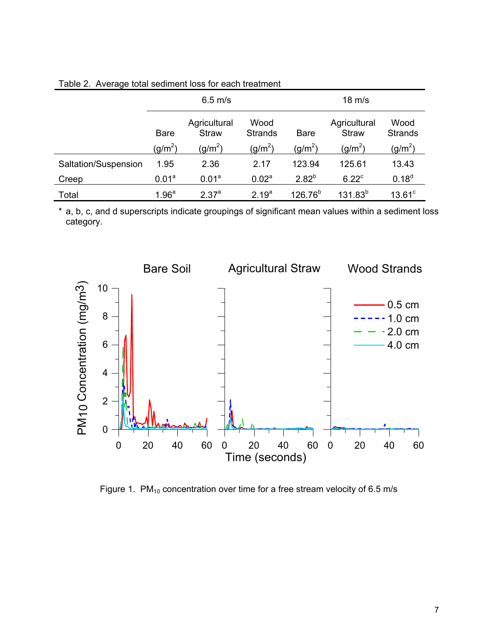| ັ                    |                   |                              |                        |                  |                              |                        |
|----------------------|-------------------|------------------------------|------------------------|------------------|------------------------------|------------------------|
|                      | $6.5$ m/s         |                              |                        | $18 \text{ m/s}$ |                              |                        |
|                      | <b>Bare</b>       | Agricultural<br><b>Straw</b> | Wood<br><b>Strands</b> | <b>Bare</b>      | Agricultural<br><b>Straw</b> | Wood<br><b>Strands</b> |
|                      | $(g/m^2)$         | $(g/m^2)$                    | (g/m <sup>2</sup> )    | $(g/m^2)$        | $(g/m^2)$                    | (g/m $^2)$             |
| Saltation/Suspension | 1.95              | 2.36                         | 2.17                   | 123.94           | 125.61                       | 13.43                  |
| Creep                | 0.01 <sup>a</sup> | 0.01 <sup>a</sup>            | 0.02 <sup>a</sup>      | $2.82^{b}$       | $6.22^{\circ}$               | $0.18^{d}$             |
| Total                | 1.96 <sup>a</sup> | 2.37 <sup>a</sup>            | 2.19 <sup>a</sup>      | $126.76^{b}$     | $131.83^{b}$                 | $13.61$ <sup>c</sup>   |

Table 2. Average total sediment loss for each treatment

\*a, b, c, and d superscripts indicate groupings of significant mean values within a sediment loss category.



Figure 1.  $PM_{10}$  concentration over time for a free stream velocity of 6.5 m/s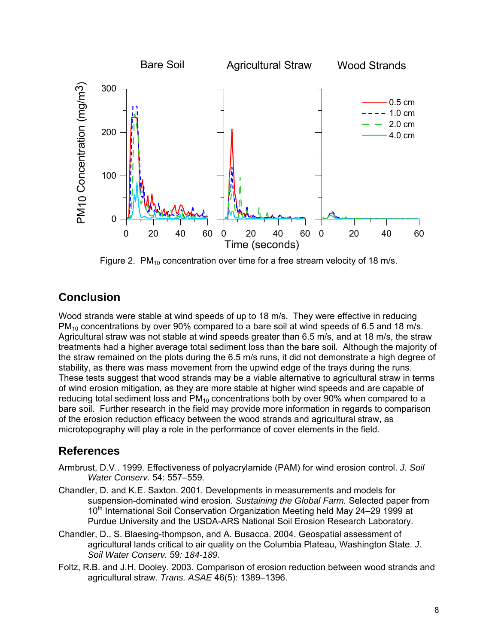

Figure 2.  $PM_{10}$  concentration over time for a free stream velocity of 18 m/s.

# **Conclusion**

Wood strands were stable at wind speeds of up to 18 m/s. They were effective in reducing  $PM_{10}$  concentrations by over 90% compared to a bare soil at wind speeds of 6.5 and 18 m/s. Agricultural straw was not stable at wind speeds greater than 6.5 m/s, and at 18 m/s, the straw treatments had a higher average total sediment loss than the bare soil. Although the majority of the straw remained on the plots during the 6.5 m/s runs, it did not demonstrate a high degree of stability, as there was mass movement from the upwind edge of the trays during the runs. These tests suggest that wood strands may be a viable alternative to agricultural straw in terms of wind erosion mitigation, as they are more stable at higher wind speeds and are capable of reducing total sediment loss and  $PM_{10}$  concentrations both by over 90% when compared to a bare soil. Further research in the field may provide more information in regards to comparison of the erosion reduction efficacy between the wood strands and agricultural straw, as microtopography will play a role in the performance of cover elements in the field.

# **References**

- Armbrust, D.V.. 1999. Effectiveness of polyacrylamide (PAM) for wind erosion control. *J. Soil Water Conserv.* 54: 557–559.
- Chandler, D. and K.E. Saxton. 2001. Developments in measurements and models for suspension-dominated wind erosion. *Sustaining the Global Farm.* Selected paper from 10<sup>th</sup> International Soil Conservation Organization Meeting held May 24–29 1999 at Purdue University and the USDA-ARS National Soil Erosion Research Laboratory.
- Chandler, D., S. Blaesing-thompson, and A. Busacca. 2004. Geospatial assessment of agricultural lands critical to air quality on the Columbia Plateau, Washington State. *J. Soil Water Conserv.* 59*: 184-189.*
- Foltz, R.B. and J.H. Dooley. 2003. Comparison of erosion reduction between wood strands and agricultural straw. *Trans. ASAE* 46(5): 1389–1396.